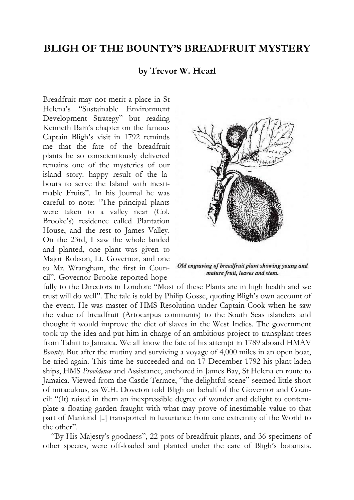## **BLIGH OF THE BOUNTY'S BREADFRUIT MYSTERY**

## **by Trevor W. Hearl**

Breadfruit may not merit a place in St Helena's "Sustainable Environment Development Strategy" but reading Kenneth Bain's chapter on the famous Captain Bligh's visit in 1792 reminds me that the fate of the breadfruit plants he so conscientiously delivered remains one of the mysteries of our island story. happy result of the labours to serve the Island with inestimable Fruits". In his Journal he was careful to note: "The principal plants were taken to a valley near (Col. Brooke's) residence called Plantation House, and the rest to James Valley. On the 23rd, I saw the whole landed and planted, one plant was given to Major Robson, Lt. Governor, and one to Mr. Wrangham, the first in Council". Governor Brooke reported hope-



Old engraving of breadfruit plant showing young and mature fruit, leaves and stem.

fully to the Directors in London: "Most of these Plants are in high health and we trust will do well". The tale is told by Philip Gosse, quoting Bligh's own account of the event. He was master of HMS Resolution under Captain Cook when he saw the value of breadfruit (Artocarpus communis) to the South Seas islanders and thought it would improve the diet of slaves in the West Indies. The government took up the idea and put him in charge of an ambitious project to transplant trees from Tahiti to Jamaica. We all know the fate of his attempt in 1789 aboard HMAV *Bounty*. But after the mutiny and surviving a voyage of 4,000 miles in an open boat, he tried again. This time he succeeded and on 17 December 1792 his plant-laden ships, HMS *Providence* and Assistance, anchored in James Bay, St Helena en route to Jamaica. Viewed from the Castle Terrace, "the delightful scene" seemed little short of miraculous, as W.H. Doveton told Bligh on behalf of the Governor and Council: "(It) raised in them an inexpressible degree of wonder and delight to contemplate a floating garden fraught with what may prove of inestimable value to that part of Mankind [..] transported in luxuriance from one extremity of the World to the other".

"By His Majesty's goodness", 22 pots of breadfruit plants, and 36 specimens of other species, were off-loaded and planted under the care of Bligh's botanists.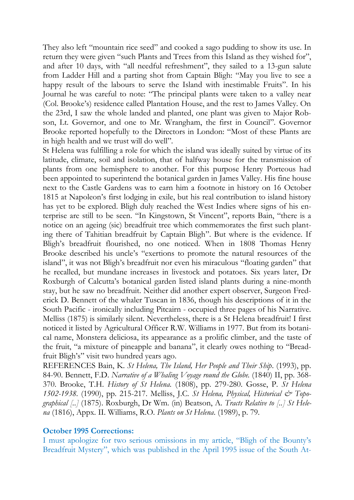They also left "mountain rice seed" and cooked a sago pudding to show its use. In return they were given "such Plants and Trees from this Island as they wished for", and after 10 days, with "all needful refreshment", they sailed to a 13-gun salute from Ladder Hill and a parting shot from Captain Bligh: "May you live to see a happy result of the labours to serve the Island with inestimable Fruits". In his Journal he was careful to note: "The principal plants were taken to a valley near (Col. Brooke's) residence called Plantation House, and the rest to James Valley. On the 23rd, I saw the whole landed and planted, one plant was given to Major Robson, Lt. Governor, and one to Mr. Wrangham, the first in Council". Governor Brooke reported hopefully to the Directors in London: "Most of these Plants are in high health and we trust will do well".

St Helena was fulfilling a role for which the island was ideally suited by virtue of its latitude, climate, soil and isolation, that of halfway house for the transmission of plants from one hemisphere to another. For this purpose Henry Porteous had been appointed to superintend the botanical garden in James Valley. His fine house next to the Castle Gardens was to earn him a footnote in history on 16 October 1815 at Napoleon's first lodging in exile, but his real contribution to island history has yet to be explored. Bligh duly reached the West Indies where signs of his enterprise are still to be seen. "In Kingstown, St Vincent", reports Bain, "there is a notice on an ageing (sic) breadfruit tree which commemorates the first such planting there of Tahitian breadfruit by Captain Bligh". But where is the evidence. If Bligh's breadfruit flourished, no one noticed. When in 1808 Thomas Henry Brooke described his uncle's "exertions to promote the natural resources of the island", it was not Bligh's breadfruit nor even his miraculous "floating garden" that he recalled, but mundane increases in livestock and potatoes. Six years later, Dr Roxburgh of Calcutta's botanical garden listed island plants during a nine-month stay, but he saw no breadfruit. Neither did another expert observer, Surgeon Frederick D. Bennett of the whaler Tuscan in 1836, though his descriptions of it in the South Pacific - ironically including Pitcairn - occupied three pages of his Narrative. Melliss (1875) is similarly silent. Nevertheless, there is a St Helena breadfruit! I first noticed it listed by Agricultural Officer R.W. Williams in 1977. But from its botanical name, Monstera deliciosa, its appearance as a prolific climber, and the taste of the fruit, "a mixture of pineapple and banana", it clearly owes nothing to "Breadfruit Bligh's" visit two hundred years ago.

REFERENCES Bain, K. *St Helena, The Island, Her People and Their Ship*. (1993), pp. 84-90. Bennett, F.D. *Narrative of a Whaling Voyage round the Globe.* (1840) II, pp. 368- 370. Brooke, T.H. *History of St Helena.* (1808), pp. 279-280. Gosse, P. *St Helena 1502-1938*. (1990), pp. 215-217. Melliss, J.C. *St Helena, Physical, Historical & Topographical [..]* (1875). Roxburgh, Dr Wm. (in) Beatson, A. *Tracts Relative to [..] St Helena* (1816), Appx. II. Williams, R.O. *Plants on St Helena*. (1989), p. 79.

## **October 1995 Corrections:**

I must apologize for two serious omissions in my article, "Bligh of the Bounty's Breadfruit Mystery", which was published in the April 1995 issue of the South At-